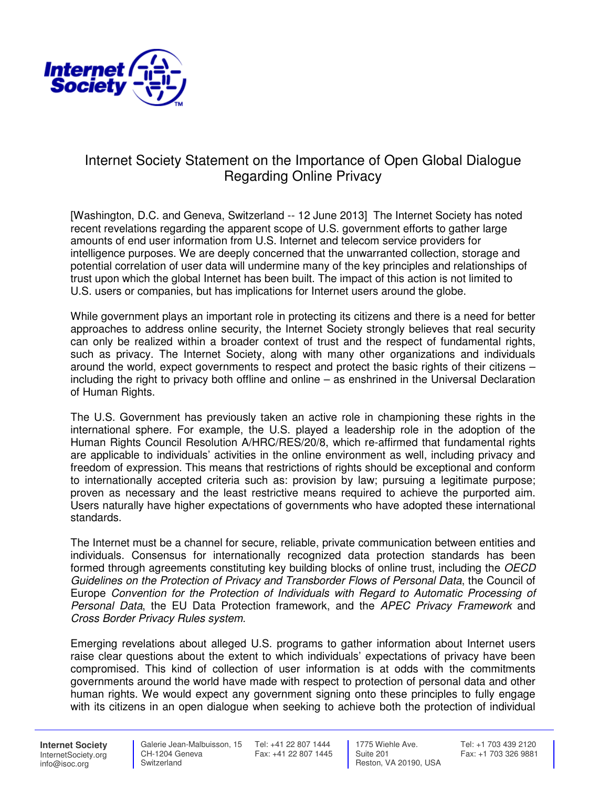

## Internet Society Statement on the Importance of Open Global Dialogue Regarding Online Privacy

[Washington, D.C. and Geneva, Switzerland -- 12 June 2013] The Internet Society has noted recent revelations regarding the apparent scope of U.S. government efforts to gather large amounts of end user information from U.S. Internet and telecom service providers for intelligence purposes. We are deeply concerned that the unwarranted collection, storage and potential correlation of user data will undermine many of the key principles and relationships of trust upon which the global Internet has been built. The impact of this action is not limited to U.S. users or companies, but has implications for Internet users around the globe.

While government plays an important role in protecting its citizens and there is a need for better approaches to address online security, the Internet Society strongly believes that real security can only be realized within a broader context of trust and the respect of fundamental rights, such as privacy. The Internet Society, along with many other organizations and individuals around the world, expect governments to respect and protect the basic rights of their citizens – including the right to privacy both offline and online – as enshrined in the Universal Declaration of Human Rights.

The U.S. Government has previously taken an active role in championing these rights in the international sphere. For example, the U.S. played a leadership role in the adoption of the Human Rights Council Resolution A/HRC/RES/20/8, which re-affirmed that fundamental rights are applicable to individuals' activities in the online environment as well, including privacy and freedom of expression. This means that restrictions of rights should be exceptional and conform to internationally accepted criteria such as: provision by law; pursuing a legitimate purpose; proven as necessary and the least restrictive means required to achieve the purported aim. Users naturally have higher expectations of governments who have adopted these international standards.

The Internet must be a channel for secure, reliable, private communication between entities and individuals. Consensus for internationally recognized data protection standards has been formed through agreements constituting key building blocks of online trust, including the OECD Guidelines on the Protection of Privacy and Transborder Flows of Personal Data, the Council of Europe Convention for the Protection of Individuals with Regard to Automatic Processing of Personal Data, the EU Data Protection framework, and the APEC Privacy Framework and Cross Border Privacy Rules system.

Emerging revelations about alleged U.S. programs to gather information about Internet users raise clear questions about the extent to which individuals' expectations of privacy have been compromised. This kind of collection of user information is at odds with the commitments governments around the world have made with respect to protection of personal data and other human rights. We would expect any government signing onto these principles to fully engage with its citizens in an open dialogue when seeking to achieve both the protection of individual

**Internet Society** InternetSociety.org info@isoc.org

 CH-1204 Geneva **Switzerland** 

 Galerie Jean-Malbuisson, 15 Tel: +41 22 807 1444 Fax: +41 22 807 1445

 1775 Wiehle Ave. Suite 201 Reston, VA 20190, USA